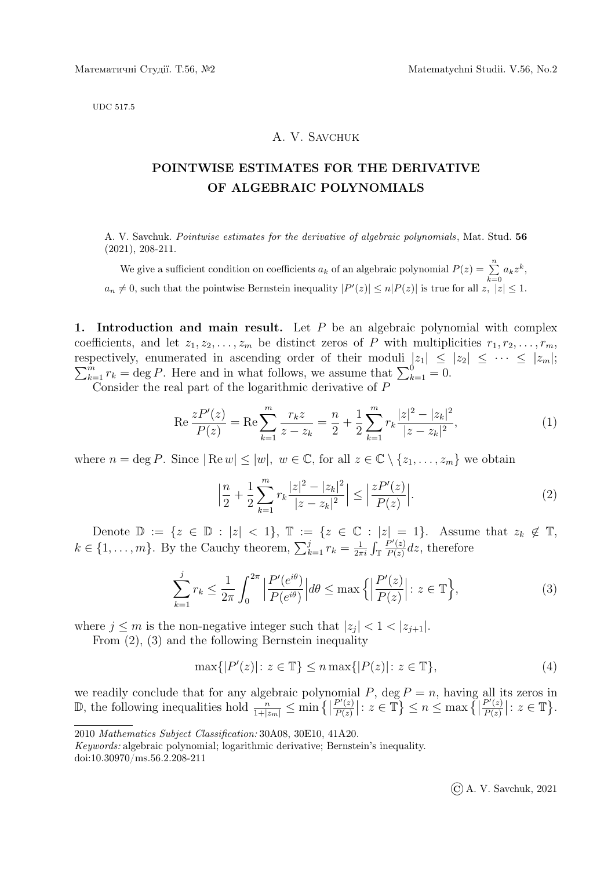UDC 517.5

## A. V. Savchuk

## POINTWISE ESTIMATES FOR THE DERIVATIVE OF ALGEBRAIC POLYNOMIALS

A. V. Savchuk. Pointwise estimates for the derivative of algebraic polynomials , Mat. Stud. 56 (2021), 208-211.

We give a sufficient condition on coefficients  $a_k$  of an algebraic polynomial  $P(z) = \sum_{k=0}^{n} a_k z^k$ ,  $a_n \neq 0$ , such that the pointwise Bernstein inequality  $|P'(z)| \leq n|P(z)|$  is true for all  $z, |z| \leq 1$ .

1. Introduction and main result. Let  $P$  be an algebraic polynomial with complex coefficients, and let  $z_1, z_2, \ldots, z_m$  be distinct zeros of P with multiplicities  $r_1, r_2, \ldots, r_m$ , respectively, enumerated in ascending order of their moduli  $\sum$ spectively, enumerated in ascending order of their moduli  $|z_1| \le |z_2| \le \cdots \le |z_m|$ ;<br> $\frac{m}{k=1} r_k = \deg P$ . Here and in what follows, we assume that  $\sum_{k=1}^{0} = 0$ .

Consider the real part of the logarithmic derivative of P

$$
\operatorname{Re}\frac{zP'(z)}{P(z)} = \operatorname{Re}\sum_{k=1}^{m} \frac{r_k z}{z - z_k} = \frac{n}{2} + \frac{1}{2} \sum_{k=1}^{m} r_k \frac{|z|^2 - |z_k|^2}{|z - z_k|^2},\tag{1}
$$

where  $n = \deg P$ . Since  $|\text{Re } w| \le |w|, w \in \mathbb{C}$ , for all  $z \in \mathbb{C} \setminus \{z_1, \ldots, z_m\}$  we obtain

$$
\left|\frac{n}{2} + \frac{1}{2} \sum_{k=1}^{m} r_k \frac{|z|^2 - |z_k|^2}{|z - z_k|^2}\right| \le \left|\frac{zP'(z)}{P(z)}\right|.\tag{2}
$$

Denote  $\mathbb{D} := \{z \in \mathbb{D} : |z| < 1\}, \mathbb{T} := \{z \in \mathbb{C} : |z| = 1\}.$  Assume that  $z_k \notin \mathbb{T}$ ,  $k \in \{1, \ldots, m\}$ . By the Cauchy theorem,  $\sum_{k=1}^{j} r_k = \frac{1}{2\pi}$  $\frac{1}{2\pi i}\int_{\mathbb{T}}$  $P'(z)$  $\frac{P'(z)}{P(z)}dz$ , therefore

$$
\sum_{k=1}^{j} r_k \le \frac{1}{2\pi} \int_0^{2\pi} \left| \frac{P'(e^{i\theta})}{P(e^{i\theta})} \right| d\theta \le \max\left\{ \left| \frac{P'(z)}{P(z)} \right| : z \in \mathbb{T} \right\},\tag{3}
$$

where  $j \leq m$  is the non-negative integer such that  $|z_j| < 1 < |z_{j+1}|$ .

From (2), (3) and the following Bernstein inequality

$$
\max\{|P'(z)| \colon z \in \mathbb{T}\} \le n \max\{|P(z)| \colon z \in \mathbb{T}\},\tag{4}
$$

we readily conclude that for any algebraic polynomial  $P$ , deg  $P = n$ , having all its zeros in  $\mathbb{D}$ , the following inequalities hold  $\frac{n}{1+|z_m|} \le \min \{ |z_m| \}$  $P'(z)$  $\frac{P'(z)}{P(z)}$ :  $z \in \mathbb{T}$   $\leq n \leq \max \left\{ \left| \frac{P'(z)}{P(z)} \right| \right\}$  $P'(z)$  $\frac{P'(z)}{P(z)}$  :  $z \in \mathbb{T}$ .

Keywords: algebraic polynomial; logarithmic derivative; Bernstein's inequality.

doi:10.30970/ms.56.2.208-211

<sup>2010</sup> Mathematics Subject Classification: 30A08, 30E10, 41A20.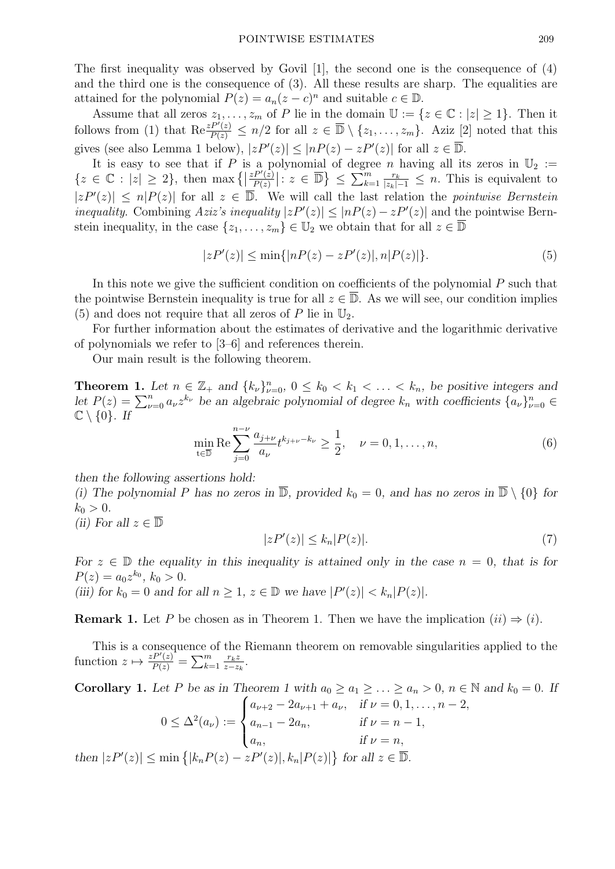The first inequality was observed by Govil [1], the second one is the consequence of (4) and the third one is the consequence of (3). All these results are sharp. The equalities are attained for the polynomial  $P(z) = a_n(z - c)^n$  and suitable  $c \in \mathbb{D}$ .

Assume that all zeros  $z_1, \ldots, z_m$  of P lie in the domain  $\mathbb{U} := \{z \in \mathbb{C} : |z| \geq 1\}$ . Then it follows from (1) that  $\text{Re} \frac{zP'(z)}{P(z)} \leq n/2$  for all  $z \in \overline{\mathbb{D}} \setminus \{z_1, \ldots, z_m\}$ . Aziz [2] noted that this gives (see also Lemma 1 below),  $|zP'(z)| \leq |nP(z) - zP'(z)|$  for all  $z \in \overline{\mathbb{D}}$ .

It is easy to see that if P is a polynomial of degree n having all its zeros in  $\mathbb{U}_2 :=$  ${z \in \mathbb{C} : |z| \geq 2}, \text{ then } \max\left\{ \right\}$  $zP'(z)$  $\frac{P'(z)}{P(z)}|: z \in \overline{\mathbb{D}}\}\leq \sum_{k=1}^m \frac{r_k}{|z_k|-1} \leq n$ . This is equivalent to  $|zP'(z)| \le n|P(z)|$  for all  $z \in \overline{\mathbb{D}}$ . We will call the last relation the *pointwise Bernstein* inequality. Combining Aziz's inequality  $|zP'(z)| \leq |nP(z) - zP'(z)|$  and the pointwise Bernstein inequality, in the case  $\{z_1, \ldots, z_m\} \in \mathbb{U}_2$  we obtain that for all  $z \in \overline{\mathbb{D}}$ 

$$
|zP'(z)| \le \min\{|nP(z) - zP'(z)|, n|P(z)|\}.
$$
 (5)

In this note we give the sufficient condition on coefficients of the polynomial P such that the pointwise Bernstein inequality is true for all  $z \in \overline{\mathbb{D}}$ . As we will see, our condition implies (5) and does not require that all zeros of P lie in  $\mathbb{U}_2$ .

For further information about the estimates of derivative and the logarithmic derivative of polynomials we refer to [3–6] and references therein.

Our main result is the following theorem.

**Theorem 1.** Let  $n \in \mathbb{Z}_+$  and  $\{k_{\nu}\}_{\nu=0}^n$ ,  $0 \leq k_0 < k_1 < \ldots < k_n$ , be positive integers and let  $P(z) = \sum_{\nu=0}^{n} a_{\nu} z^{k_{\nu}}$  be an algebraic polynomial of degree  $k_n$  with coefficients  $\{a_{\nu}\}_{\nu=0}^{n} \in$  $\mathbb{C} \setminus \{0\}$ . If

$$
\min_{t \in \overline{\mathbb{D}}} \text{Re} \sum_{j=0}^{n-\nu} \frac{a_{j+\nu}}{a_{\nu}} t^{k_{j+\nu} - k_{\nu}} \ge \frac{1}{2}, \quad \nu = 0, 1, \dots, n,
$$
\n(6)

then the following assertions hold:

(i) The polynomial P has no zeros in  $\overline{\mathbb{D}}$ , provided  $k_0 = 0$ , and has no zeros in  $\overline{\mathbb{D}} \setminus \{0\}$  for  $k_0 > 0$ .

(ii) For all  $z \in \overline{\mathbb{D}}$ 

$$
|zP'(z)| \le k_n |P(z)|. \tag{7}
$$

For  $z \in \mathbb{D}$  the equality in this inequality is attained only in the case  $n = 0$ , that is for  $P(z) = a_0 z^{k_0}, k_0 > 0.$ (iii) for  $k_0 = 0$  and for all  $n \ge 1$ ,  $z \in \mathbb{D}$  we have  $|P'(z)| < k_n |P(z)|$ .

**Remark 1.** Let P be chosen as in Theorem 1. Then we have the implication  $(ii) \Rightarrow (i)$ .

This is a consequence of the Riemann theorem on removable singularities applied to the function  $z \mapsto \frac{zP'(z)}{P(z)} = \sum_{k=1}^m \frac{r_k z}{z-z}$  $\frac{r_k z}{z-z_k}$ .

Corollary 1. Let P be as in Theorem 1 with  $a_0 \ge a_1 \ge \ldots \ge a_n > 0$ ,  $n \in \mathbb{N}$  and  $k_0 = 0$ . If  $0 \leq \Delta^2(a_\nu) :=$  $\sqrt{ }$  $\int$  $a_{\nu+2} - 2a_{\nu+1} + a_{\nu}$ , if  $\nu = 0, 1, \ldots, n-2$ ,  $a_{n-1} - 2a_n,$  if  $\nu = n - 1,$ 

then 
$$
|zP'(z)| \le \min\{|k_nP(z) - zP'(z)|, k_n|P(z)|\}
$$
 for all  $z \in \overline{\mathbb{D}}$ .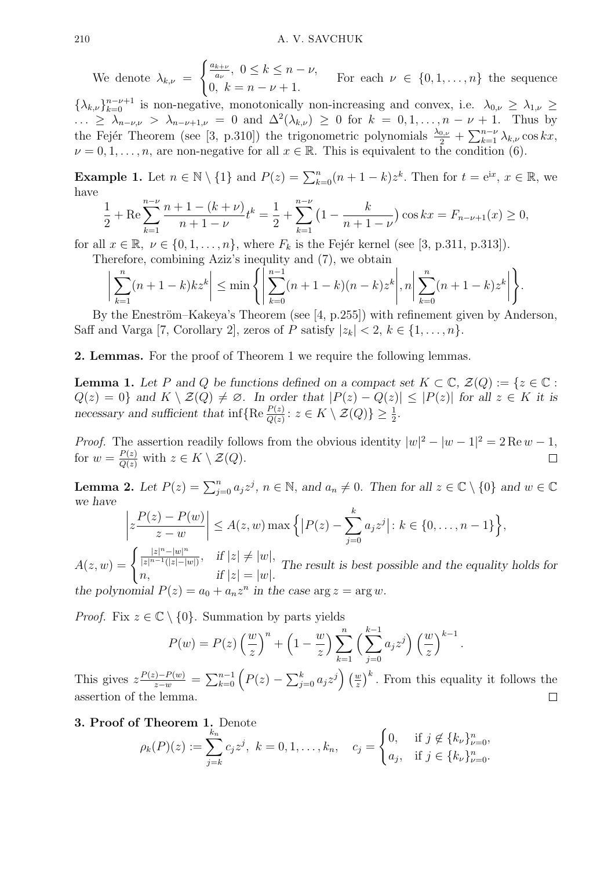We denote  $\lambda_{k,\nu} =$  $\int_{a_{\nu}}^{a_{k+\nu}}$ ,  $0 \leq k \leq n-\nu$ , 0,  $k = n - \nu + 1$ . For each  $\nu \in \{0, 1, \ldots, n\}$  the sequence

 $\{\lambda_{k,\nu}\}_{k=0}^{n-\nu+1}$  is non-negative, monotonically non-increasing and convex, i.e.  $\lambda_{0,\nu} \geq \lambda_{1,\nu} \geq$  $\ldots \geq \lambda_{n-\nu,\nu} > \lambda_{n-\nu+1,\nu} = 0$  and  $\Delta^2(\lambda_{k,\nu}) \geq 0$  for  $k = 0, 1, \ldots, n-\nu+1$ . Thus by the Fejér Theorem (see [3, p.310]) the trigonometric polynomials  $\frac{\lambda_{0,\nu}}{2} + \sum_{k=1}^{n-\nu} \lambda_{k,\nu} \cos kx$ ,  $\nu = 0, 1, \ldots, n$ , are non-negative for all  $x \in \mathbb{R}$ . This is equivalent to the condition (6).

**Example 1.** Let  $n \in \mathbb{N} \setminus \{1\}$  and  $P(z) = \sum_{k=0}^{n} (n+1-k)z^k$ . Then for  $t = e^{iz}$ ,  $x \in \mathbb{R}$ , we have

$$
\frac{1}{2} + \text{Re}\sum_{k=1}^{n-\nu} \frac{n+1-(k+\nu)}{n+1-\nu} t^k = \frac{1}{2} + \sum_{k=1}^{n-\nu} \left(1 - \frac{k}{n+1-\nu}\right) \cos kx = F_{n-\nu+1}(x) \ge 0,
$$

for all  $x \in \mathbb{R}, \nu \in \{0, 1, \ldots, n\}$ , where  $F_k$  is the Fejér kernel (see [3, p.311, p.313]).

Therefore, combining Aziz's inequlity and (7), we obtain

$$
\left|\sum_{k=1}^{n}(n+1-k)kz^{k}\right| \leq \min\left\{\left|\sum_{k=0}^{n-1}(n+1-k)(n-k)z^{k}\right|, n\right|\sum_{k=0}^{n}(n+1-k)z^{k}\right\}.
$$

By the Eneström–Kakeya's Theorem (see  $[4, p.255]$ ) with refinement given by Anderson, Saff and Varga [7, Corollary 2], zeros of P satisfy  $|z_k| < 2$ ,  $k \in \{1, \ldots, n\}$ .

2. Lemmas. For the proof of Theorem 1 we require the following lemmas.

**Lemma 1.** Let P and Q be functions defined on a compact set  $K \subset \mathbb{C}$ ,  $\mathcal{Z}(Q) := \{z \in \mathbb{C}$ :  $Q(z) = 0$  and  $K \setminus \mathcal{Z}(Q) \neq \emptyset$ . In order that  $|P(z) - Q(z)| \leq |P(z)|$  for all  $z \in K$  it is necessary and sufficient that  $\inf \{ \text{Re} \frac{P(z)}{Q(z)} : z \in K \setminus \mathcal{Z}(Q) \} \geq \frac{1}{2}$ .

*Proof.* The assertion readily follows from the obvious identity  $|w|^2 - |w-1|^2 = 2 \text{Re } w - 1$ , for  $w = \frac{P(z)}{Q(z)}$  with  $z \in K \setminus \mathcal{Z}(Q)$ .  $\Box$ 

**Lemma 2.** Let  $P(z) = \sum_{j=0}^{n} a_j z^j$ ,  $n \in \mathbb{N}$ , and  $a_n \neq 0$ . Then for all  $z \in \mathbb{C} \setminus \{0\}$  and  $w \in \mathbb{C}$ we have

$$
\left| z \frac{P(z) - P(w)}{z - w} \right| \le A(z, w) \max \left\{ \left| P(z) - \sum_{j=0}^{k} a_j z^j \right| : k \in \{0, \dots, n-1\} \right\},\
$$

 $A(z, w) = \begin{cases} \frac{|z|^n - |w|^n}{|z|^{n-1}(|z| - |w|)} \end{cases}$  $\frac{|z|^n - |w|^n}{|z|^{n-1}(|z|-|w|)}, \quad \text{if } |z| \neq |w|,$ *n*, if  $|z| = |w|$ . The result is best possible and the equality holds for the polynomial  $P(z) = a_0 + a_n z^n$  in the case  $\arg z = \arg w$ .

*Proof.* Fix  $z \in \mathbb{C} \setminus \{0\}$ . Summation by parts yields

$$
P(w) = P(z) \left(\frac{w}{z}\right)^n + \left(1 - \frac{w}{z}\right) \sum_{k=1}^n \left(\sum_{j=0}^{k-1} a_j z^j\right) \left(\frac{w}{z}\right)^{k-1}.
$$

This gives  $z \frac{P(z) - P(w)}{z - w} = \sum_{k=0}^{n-1} \left( P(z) - \sum_{j=0}^{k} a_j z^j \right) \left( \frac{w}{z} \right)$  $\left(\frac{w}{z}\right)^k$ . From this equality it follows the assertion of the lemma.  $\Box$ 

**3. Proof of Theorem 1.** Denote  
\n
$$
\rho_k(P)(z) := \sum_{j=k}^{k_n} c_j z^j, \ k = 0, 1, ..., k_n, \quad c_j = \begin{cases} 0, & \text{if } j \notin \{k_{\nu}\}_{\nu=0}^n, \\ a_j, & \text{if } j \in \{k_{\nu}\}_{\nu=0}^n. \end{cases}
$$